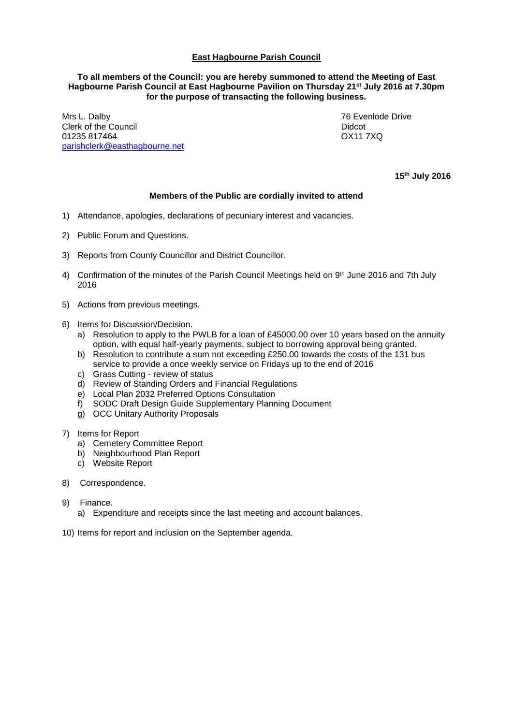## **East Hagbourne Parish Council**

## **To all members of the Council: you are hereby summoned to attend the Meeting of East Hagbourne Parish Council at East Hagbourne Pavilion on Thursday 21st July 2016 at 7.30pm for the purpose of transacting the following business.**

Mrs L. Dalby 76 Evenlode Drive Clerk of the Council and the Council and the Council and the Council and the Didcot of Didcot and Didcot of Didcot of Didcot and Didcot of Didcot of Didcot and Didcot of Didcot of Didcot and Didcot of Didcot of Didcot and 01235 817464 [parishclerk@easthagbourne.net](mailto:parishclerk@easthagbourne.net)

**15 th July 2016**

## **Members of the Public are cordially invited to attend**

- 1) Attendance, apologies, declarations of pecuniary interest and vacancies.
- 2) Public Forum and Questions.
- 3) Reports from County Councillor and District Councillor.
- 4) Confirmation of the minutes of the Parish Council Meetings held on 9<sup>th</sup> June 2016 and 7th July 2016
- 5) Actions from previous meetings.
- 6) Items for Discussion/Decision.
	- a) Resolution to apply to the PWLB for a loan of £45000.00 over 10 years based on the annuity option, with equal half-yearly payments, subject to borrowing approval being granted.
	- b) Resolution to contribute a sum not exceeding £250.00 towards the costs of the 131 bus service to provide a once weekly service on Fridays up to the end of 2016
	- c) Grass Cutting review of status
	- d) Review of Standing Orders and Financial Regulations
	- e) Local Plan 2032 Preferred Options Consultation
	- f) SODC Draft Design Guide Supplementary Planning Document
	- g) OCC Unitary Authority Proposals

## 7) Items for Report

- a) Cemetery Committee Report
- b) Neighbourhood Plan Report
- c) Website Report
- 8) Correspondence.
- 9) Finance.
	- a) Expenditure and receipts since the last meeting and account balances.
- 10) Items for report and inclusion on the September agenda.